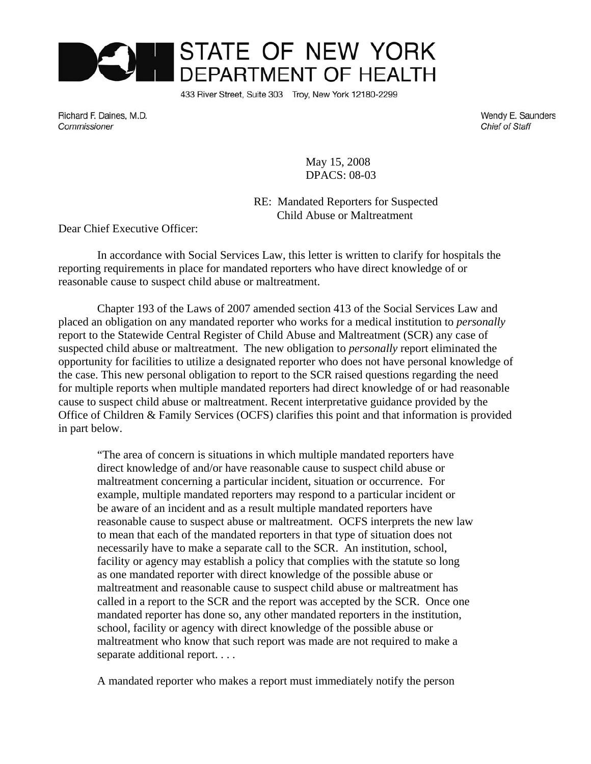

433 River Street, Suite 303 Troy, New York 12180-2299

Richard F. Daines, M.D. Commissioner

Wendy E. Saunders **Chief of Staff** 

 May 15, 2008 DPACS: 08-03

RE: Mandated Reporters for Suspected Child Abuse or Maltreatment

Dear Chief Executive Officer:

In accordance with Social Services Law, this letter is written to clarify for hospitals the reporting requirements in place for mandated reporters who have direct knowledge of or reasonable cause to suspect child abuse or maltreatment.

Chapter 193 of the Laws of 2007 amended section 413 of the Social Services Law and placed an obligation on any mandated reporter who works for a medical institution to *personally* report to the Statewide Central Register of Child Abuse and Maltreatment (SCR) any case of suspected child abuse or maltreatment. The new obligation to *personally* report eliminated the opportunity for facilities to utilize a designated reporter who does not have personal knowledge of the case. This new personal obligation to report to the SCR raised questions regarding the need for multiple reports when multiple mandated reporters had direct knowledge of or had reasonable cause to suspect child abuse or maltreatment. Recent interpretative guidance provided by the Office of Children & Family Services (OCFS) clarifies this point and that information is provided in part below.

"The area of concern is situations in which multiple mandated reporters have direct knowledge of and/or have reasonable cause to suspect child abuse or maltreatment concerning a particular incident, situation or occurrence. For example, multiple mandated reporters may respond to a particular incident or be aware of an incident and as a result multiple mandated reporters have reasonable cause to suspect abuse or maltreatment. OCFS interprets the new law to mean that each of the mandated reporters in that type of situation does not necessarily have to make a separate call to the SCR. An institution, school, facility or agency may establish a policy that complies with the statute so long as one mandated reporter with direct knowledge of the possible abuse or maltreatment and reasonable cause to suspect child abuse or maltreatment has called in a report to the SCR and the report was accepted by the SCR. Once one mandated reporter has done so, any other mandated reporters in the institution, school, facility or agency with direct knowledge of the possible abuse or maltreatment who know that such report was made are not required to make a separate additional report. . . .

A mandated reporter who makes a report must immediately notify the person